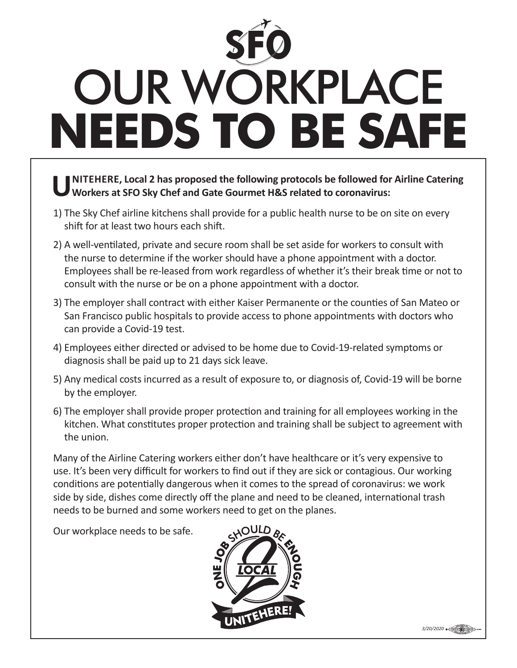## OUR WORKPLACE **NEEDS TO BE SAFE**

## **UNITEHERE, Local 2 has proposed the following protocols be followed for Airline Catering Workers at SFO Sky Chef and Gate Gourmet H&S related to coronavirus:**

- 1) The Sky Chef airline kitchens shall provide for a public health nurse to be on site on every shift for at least two hours each shift.
- 2) A well-ventilated, private and secure room shall be set aside for workers to consult with the nurse to determine if the worker should have a phone appointment with a doctor. Employees shall be re-leased from work regardless of whether it's their break time or not to consult with the nurse or be on a phone appointment with a doctor.
- 3) The employer shall contract with either Kaiser Permanente or the counties of San Mateo or San Francisco public hospitals to provide access to phone appointments with doctors who can provide a Covid-19 test.
- 4) Employees either directed or advised to be home due to Covid-19-related symptoms or diagnosis shall be paid up to 21 days sick leave.
- 5) Any medical costs incurred as a result of exposure to, or diagnosis of, Covid-19 will be borne by the employer.
- 6) The employer shall provide proper protection and training for all employees working in the kitchen. What constitutes proper protection and training shall be subject to agreement with the union.

Many of the Airline Catering workers either don't have healthcare or it's very expensive to use. It's been very difficult for workers to find out if they are sick or contagious. Our working conditions are potentially dangerous when it comes to the spread of coronavirus: we work side by side, dishes come directly off the plane and need to be cleaned, international trash needs to be burned and some workers need to get on the planes.

Our workplace needs to be safe.



**3/20/2020** • CUNION LABORD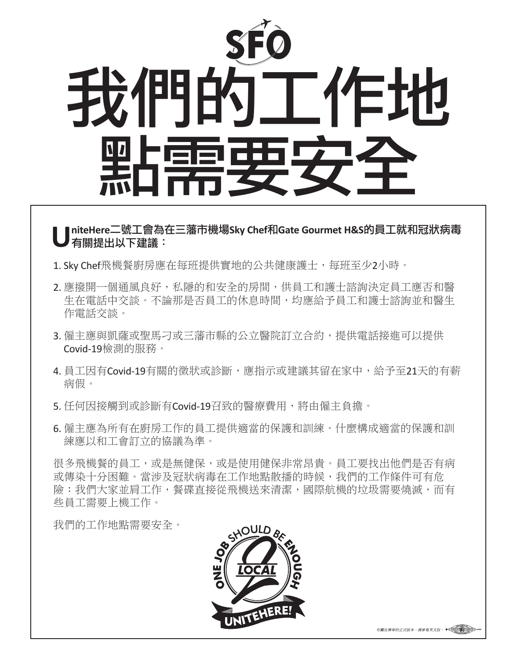

## **UniteHere**二號工會為在三藩市機場**Sky Chef**和**Gate Gourmet H&S**的員工就和冠狀病毒 有關提出以下建議:

- 1. Sky Chef飛機餐廚房應在每班提供實地的公共健康護士,每班至少2小時。
- 2. 應撥開一個通風良好,私隱的和安全的房間,供員工和護士諮詢決定員工應否和醫 生在電話中交談。不論那是否員工的休息時間,均應給予員工和護士諮詢並和醫生 作電話交談。
- 3. 僱主應與凱薩或聖馬刁或三藩市縣的公立醫院訂立合約, 提供電話接進可以提供 Covid-19檢測的服務。
- 4. 員工因有Covid-19有關的徵狀或診斷,應指示或建議其留在家中,給予至21天的有薪 病假。
- 5. 任何因接觸到或診斷有Covid-19召致的醫療費用,將由僱主負擔。
- 6. 僱主應為所有在廚房工作的員工提供適當的保護和訓練。什麼構成適當的保護和訓 練應以和工會訂立的協議為準。

很多飛機餐的員工,或是無健保,或是使用健保非常昂貴。員工要找出他們是否有病 或傳染十分困難。當涉及冠狀病毒在工作地點散播的時候,我們的工作條件可有危 險:我們大家並肩工作,餐碟直接從飛機送來清潔,國際航機的垃圾需要燒滅,而有 些員工需要上機工作。

我們的工作地點需要安全。



有關此傳單的正式版本,請參看英文版, O<uwjow LABOR>